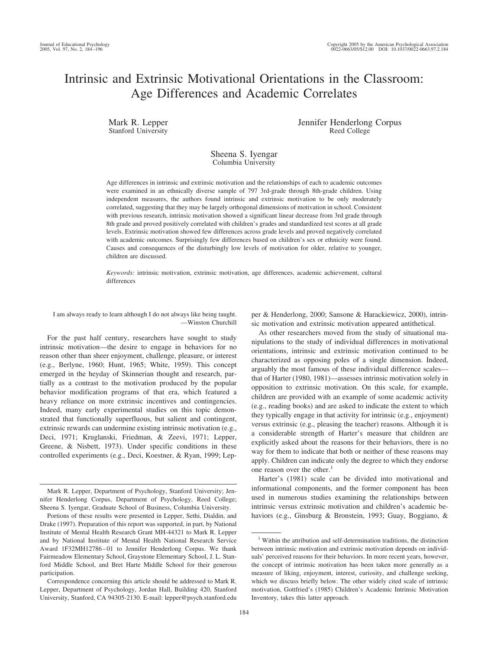# Intrinsic and Extrinsic Motivational Orientations in the Classroom: Age Differences and Academic Correlates

Mark R. Lepper Stanford University

Jennifer Henderlong Corpus Reed College

## Sheena S. Iyengar Columbia University

Age differences in intrinsic and extrinsic motivation and the relationships of each to academic outcomes were examined in an ethnically diverse sample of 797 3rd-grade through 8th-grade children. Using independent measures, the authors found intrinsic and extrinsic motivation to be only moderately correlated, suggesting that they may be largely orthogonal dimensions of motivation in school. Consistent with previous research, intrinsic motivation showed a significant linear decrease from 3rd grade through 8th grade and proved positively correlated with children's grades and standardized test scores at all grade levels. Extrinsic motivation showed few differences across grade levels and proved negatively correlated with academic outcomes. Surprisingly few differences based on children's sex or ethnicity were found. Causes and consequences of the disturbingly low levels of motivation for older, relative to younger, children are discussed.

*Keywords:* intrinsic motivation, extrinsic motivation, age differences, academic achievement, cultural differences

I am always ready to learn although I do not always like being taught. —Winston Churchill

For the past half century, researchers have sought to study intrinsic motivation—the desire to engage in behaviors for no reason other than sheer enjoyment, challenge, pleasure, or interest (e.g., Berlyne, 1960; Hunt, 1965; White, 1959). This concept emerged in the heyday of Skinnerian thought and research, partially as a contrast to the motivation produced by the popular behavior modification programs of that era, which featured a heavy reliance on more extrinsic incentives and contingencies. Indeed, many early experimental studies on this topic demonstrated that functionally superfluous, but salient and contingent, extrinsic rewards can undermine existing intrinsic motivation (e.g., Deci, 1971; Kruglanski, Friedman, & Zeevi, 1971; Lepper, Greene, & Nisbett, 1973). Under specific conditions in these controlled experiments (e.g., Deci, Koestner, & Ryan, 1999; Lep-

As other researchers moved from the study of situational manipulations to the study of individual differences in motivational

per & Henderlong, 2000; Sansone & Harackiewicz, 2000), intrinsic motivation and extrinsic motivation appeared antithetical.

orientations, intrinsic and extrinsic motivation continued to be characterized as opposing poles of a single dimension. Indeed, arguably the most famous of these individual difference scales that of Harter (1980, 1981)—assesses intrinsic motivation solely in opposition to extrinsic motivation. On this scale, for example, children are provided with an example of some academic activity (e.g., reading books) and are asked to indicate the extent to which they typically engage in that activity for intrinsic (e.g., enjoyment) versus extrinsic (e.g., pleasing the teacher) reasons. Although it is a considerable strength of Harter's measure that children are explicitly asked about the reasons for their behaviors, there is no way for them to indicate that both or neither of these reasons may apply. Children can indicate only the degree to which they endorse one reason over the other. $<sup>1</sup>$ </sup>

Harter's (1981) scale can be divided into motivational and informational components, and the former component has been used in numerous studies examining the relationships between intrinsic versus extrinsic motivation and children's academic behaviors (e.g., Ginsburg & Bronstein, 1993; Guay, Boggiano, &

Mark R. Lepper, Department of Psychology, Stanford University; Jennifer Henderlong Corpus, Department of Psychology, Reed College; Sheena S. Iyengar, Graduate School of Business, Columbia University.

Portions of these results were presented in Lepper, Sethi, Dialdin, and Drake (1997). Preparation of this report was supported, in part, by National Institute of Mental Health Research Grant MH-44321 to Mark R. Lepper and by National Institute of Mental Health National Research Service Award 1F32MH12786-01 to Jennifer Henderlong Corpus. We thank Fairmeadow Elementary School, Graystone Elementary School, J. L. Stanford Middle School, and Bret Harte Middle School for their generous participation.

Correspondence concerning this article should be addressed to Mark R. Lepper, Department of Psychology, Jordan Hall, Building 420, Stanford University, Stanford, CA 94305-2130. E-mail: lepper@psych.stanford.edu

 $1$  Within the attribution and self-determination traditions, the distinction between intrinsic motivation and extrinsic motivation depends on individuals' perceived reasons for their behaviors. In more recent years, however, the concept of intrinsic motivation has been taken more generally as a measure of liking, enjoyment, interest, curiosity, and challenge seeking, which we discuss briefly below. The other widely cited scale of intrinsic motivation, Gottfried's (1985) Children's Academic Intrinsic Motivation Inventory, takes this latter approach.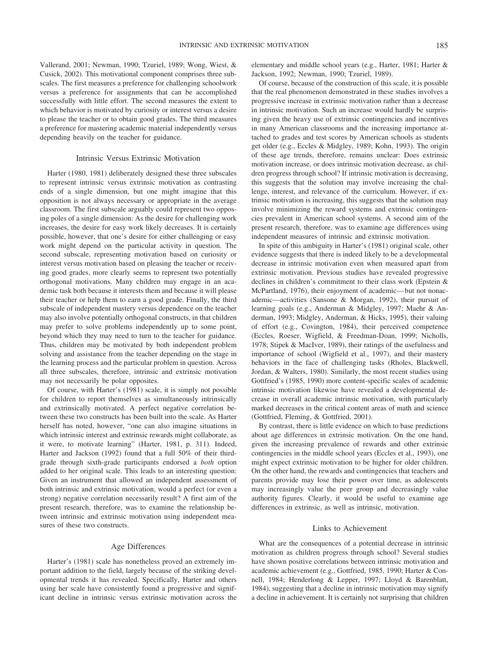Vallerand, 2001; Newman, 1990; Tzuriel, 1989; Wong, Wiest, & Cusick, 2002). This motivational component comprises three subscales. The first measures a preference for challenging schoolwork versus a preference for assignments that can be accomplished successfully with little effort. The second measures the extent to which behavior is motivated by curiosity or interest versus a desire to please the teacher or to obtain good grades. The third measures a preference for mastering academic material independently versus depending heavily on the teacher for guidance.

## Intrinsic Versus Extrinsic Motivation

Harter (1980, 1981) deliberately designed these three subscales to represent intrinsic versus extrinsic motivation as contrasting ends of a single dimension, but one might imagine that this opposition is not always necessary or appropriate in the average classroom. The first subscale arguably could represent two opposing poles of a single dimension: As the desire for challenging work increases, the desire for easy work likely decreases. It is certainly possible, however, that one's desire for either challenging or easy work might depend on the particular activity in question. The second subscale, representing motivation based on curiosity or interest versus motivation based on pleasing the teacher or receiving good grades, more clearly seems to represent two potentially orthogonal motivations. Many children may engage in an academic task both because it interests them and because it will please their teacher or help them to earn a good grade. Finally, the third subscale of independent mastery versus dependence on the teacher may also involve potentially orthogonal constructs, in that children may prefer to solve problems independently up to some point, beyond which they may need to turn to the teacher for guidance. Thus, children may be motivated by both independent problem solving and assistance from the teacher depending on the stage in the learning process and the particular problem in question. Across all three subscales, therefore, intrinsic and extrinsic motivation may not necessarily be polar opposites.

Of course, with Harter's (1981) scale, it is simply not possible for children to report themselves as simultaneously intrinsically and extrinsically motivated. A perfect negative correlation between these two constructs has been built into the scale. As Harter herself has noted, however, "one can also imagine situations in which intrinsic interest and extrinsic rewards might collaborate, as it were, to motivate learning" (Harter, 1981, p. 311). Indeed, Harter and Jackson (1992) found that a full 50% of their thirdgrade through sixth-grade participants endorsed a *both* option added to her original scale. This leads to an interesting question: Given an instrument that allowed an independent assessment of both intrinsic and extrinsic motivation, would a perfect (or even a strong) negative correlation necessarily result? A first aim of the present research, therefore, was to examine the relationship between intrinsic and extrinsic motivation using independent measures of these two constructs.

# Age Differences

Harter's (1981) scale has nonetheless proved an extremely important addition to the field, largely because of the striking developmental trends it has revealed. Specifically, Harter and others using her scale have consistently found a progressive and significant decline in intrinsic versus extrinsic motivation across the elementary and middle school years (e.g., Harter, 1981; Harter & Jackson, 1992; Newman, 1990; Tzuriel, 1989).

Of course, because of the construction of this scale, it is possible that the real phenomenon demonstrated in these studies involves a progressive increase in extrinsic motivation rather than a decrease in intrinsic motivation. Such an increase would hardly be surprising given the heavy use of extrinsic contingencies and incentives in many American classrooms and the increasing importance attached to grades and test scores by American schools as students get older (e.g., Eccles & Midgley, 1989; Kohn, 1993). The origin of these age trends, therefore, remains unclear: Does extrinsic motivation increase, or does intrinsic motivation decrease, as children progress through school? If intrinsic motivation is decreasing, this suggests that the solution may involve increasing the challenge, interest, and relevance of the curriculum. However, if extrinsic motivation is increasing, this suggests that the solution may involve minimizing the reward systems and extrinsic contingencies prevalent in American school systems. A second aim of the present research, therefore, was to examine age differences using independent measures of intrinsic and extrinsic motivation.

In spite of this ambiguity in Harter's (1981) original scale, other evidence suggests that there is indeed likely to be a developmental decrease in intrinsic motivation even when measured apart from extrinsic motivation. Previous studies have revealed progressive declines in children's commitment to their class work (Epstein & McPartland, 1976), their enjoyment of academic— but not nonacademic—activities (Sansone & Morgan, 1992), their pursuit of learning goals (e.g., Anderman & Midgley, 1997; Maehr & Anderman, 1993; Midgley, Anderman, & Hicks, 1995), their valuing of effort (e.g., Covington, 1984), their perceived competence (Eccles, Roeser, Wigfield, & Freedman-Doan, 1999; Nicholls, 1978; Stipek & MacIver, 1989), their ratings of the usefulness and importance of school (Wigfield et al., 1997), and their mastery behaviors in the face of challenging tasks (Rholes, Blackwell, Jordan, & Walters, 1980). Similarly, the most recent studies using Gottfried's (1985, 1990) more content-specific scales of academic intrinsic motivation likewise have revealed a developmental decrease in overall academic intrinsic motivation, with particularly marked decreases in the critical content areas of math and science (Gottfried, Fleming, & Gottfried, 2001).

By contrast, there is little evidence on which to base predictions about age differences in extrinsic motivation. On the one hand, given the increasing prevalence of rewards and other extrinsic contingencies in the middle school years (Eccles et al., 1993), one might expect extrinsic motivation to be higher for older children. On the other hand, the rewards and contingencies that teachers and parents provide may lose their power over time, as adolescents may increasingly value the peer group and decreasingly value authority figures. Clearly, it would be useful to examine age differences in extrinsic, as well as intrinsic, motivation.

## Links to Achievement

What are the consequences of a potential decrease in intrinsic motivation as children progress through school? Several studies have shown positive correlations between intrinsic motivation and academic achievement (e.g., Gottfried, 1985, 1990; Harter & Connell, 1984; Henderlong & Lepper, 1997; Lloyd & Barenblatt, 1984), suggesting that a decline in intrinsic motivation may signify a decline in achievement. It is certainly not surprising that children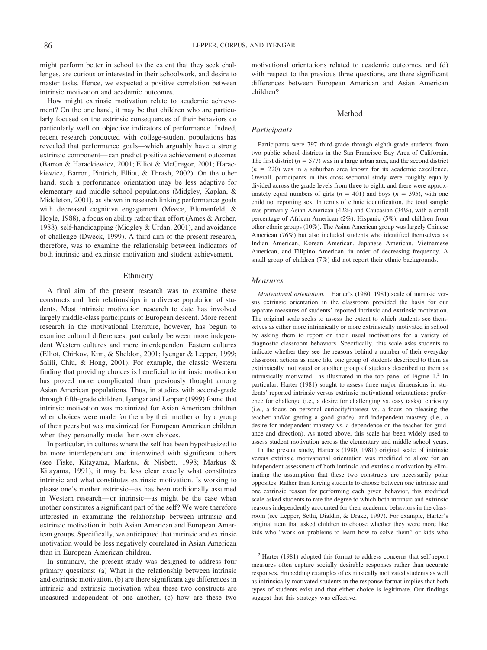might perform better in school to the extent that they seek challenges, are curious or interested in their schoolwork, and desire to master tasks. Hence, we expected a positive correlation between intrinsic motivation and academic outcomes.

How might extrinsic motivation relate to academic achievement? On the one hand, it may be that children who are particularly focused on the extrinsic consequences of their behaviors do particularly well on objective indicators of performance. Indeed, recent research conducted with college-student populations has revealed that performance goals—which arguably have a strong extrinsic component— can predict positive achievement outcomes (Barron & Harackiewicz, 2001; Elliot & McGregor, 2001; Harackiewicz, Barron, Pintrich, Elliot, & Thrash, 2002). On the other hand, such a performance orientation may be less adaptive for elementary and middle school populations (Midgley, Kaplan, & Middleton, 2001), as shown in research linking performance goals with decreased cognitive engagement (Meece, Blumenfeld, & Hoyle, 1988), a focus on ability rather than effort (Ames & Archer, 1988), self-handicapping (Midgley & Urdan, 2001), and avoidance of challenge (Dweck, 1999). A third aim of the present research, therefore, was to examine the relationship between indicators of both intrinsic and extrinsic motivation and student achievement.

## Ethnicity

A final aim of the present research was to examine these constructs and their relationships in a diverse population of students. Most intrinsic motivation research to date has involved largely middle-class participants of European descent. More recent research in the motivational literature, however, has begun to examine cultural differences, particularly between more independent Western cultures and more interdependent Eastern cultures (Elliot, Chirkov, Kim, & Sheldon, 2001; Iyengar & Lepper, 1999; Salili, Chiu, & Hong, 2001). For example, the classic Western finding that providing choices is beneficial to intrinsic motivation has proved more complicated than previously thought among Asian American populations. Thus, in studies with second-grade through fifth-grade children, Iyengar and Lepper (1999) found that intrinsic motivation was maximized for Asian American children when choices were made for them by their mother or by a group of their peers but was maximized for European American children when they personally made their own choices.

In particular, in cultures where the self has been hypothesized to be more interdependent and intertwined with significant others (see Fiske, Kitayama, Markus, & Nisbett, 1998; Markus & Kitayama, 1991), it may be less clear exactly what constitutes intrinsic and what constitutes extrinsic motivation. Is working to please one's mother extrinsic—as has been traditionally assumed in Western research— or intrinsic—as might be the case when mother constitutes a significant part of the self? We were therefore interested in examining the relationship between intrinsic and extrinsic motivation in both Asian American and European American groups. Specifically, we anticipated that intrinsic and extrinsic motivation would be less negatively correlated in Asian American than in European American children.

In summary, the present study was designed to address four primary questions: (a) What is the relationship between intrinsic and extrinsic motivation, (b) are there significant age differences in intrinsic and extrinsic motivation when these two constructs are measured independent of one another, (c) how are these two

motivational orientations related to academic outcomes, and (d) with respect to the previous three questions, are there significant differences between European American and Asian American children?

# Method

# *Participants*

Participants were 797 third-grade through eighth-grade students from two public school districts in the San Francisco Bay Area of California. The first district  $(n = 577)$  was in a large urban area, and the second district  $(n = 220)$  was in a suburban area known for its academic excellence. Overall, participants in this cross-sectional study were roughly equally divided across the grade levels from three to eight, and there were approximately equal numbers of girls  $(n = 401)$  and boys  $(n = 395)$ , with one child not reporting sex. In terms of ethnic identification, the total sample was primarily Asian American (42%) and Caucasian (34%), with a small percentage of African American (2%), Hispanic (5%), and children from other ethnic groups (10%). The Asian American group was largely Chinese American (76%) but also included students who identified themselves as Indian American, Korean American, Japanese American, Vietnamese American, and Filipino American, in order of decreasing frequency. A small group of children (7%) did not report their ethnic backgrounds.

## *Measures*

*Motivational orientation.* Harter's (1980, 1981) scale of intrinsic versus extrinsic orientation in the classroom provided the basis for our separate measures of students' reported intrinsic and extrinsic motivation. The original scale seeks to assess the extent to which students see themselves as either more intrinsically or more extrinsically motivated in school by asking them to report on their usual motivations for a variety of diagnostic classroom behaviors. Specifically, this scale asks students to indicate whether they see the reasons behind a number of their everyday classroom actions as more like one group of students described to them as extrinsically motivated or another group of students described to them as intrinsically motivated—as illustrated in the top panel of Figure  $1<sup>2</sup>$  In particular, Harter (1981) sought to assess three major dimensions in students' reported intrinsic versus extrinsic motivational orientations: preference for challenge (i.e., a desire for challenging vs. easy tasks), curiosity (i.e., a focus on personal curiosity/interest vs. a focus on pleasing the teacher and/or getting a good grade), and independent mastery (i.e., a desire for independent mastery vs. a dependence on the teacher for guidance and direction). As noted above, this scale has been widely used to assess student motivation across the elementary and middle school years.

In the present study, Harter's (1980, 1981) original scale of intrinsic versus extrinsic motivational orientation was modified to allow for an independent assessment of both intrinsic and extrinsic motivation by eliminating the assumption that these two constructs are necessarily polar opposites. Rather than forcing students to choose between one intrinsic and one extrinsic reason for performing each given behavior, this modified scale asked students to rate the degree to which both intrinsic and extrinsic reasons independently accounted for their academic behaviors in the classroom (see Lepper, Sethi, Dialdin, & Drake, 1997). For example, Harter's original item that asked children to choose whether they were more like kids who "work on problems to learn how to solve them" or kids who

<sup>2</sup> Harter (1981) adopted this format to address concerns that self-report measures often capture socially desirable responses rather than accurate responses. Embedding examples of extrinsically motivated students as well as intrinsically motivated students in the response format implies that both types of students exist and that either choice is legitimate. Our findings suggest that this strategy was effective.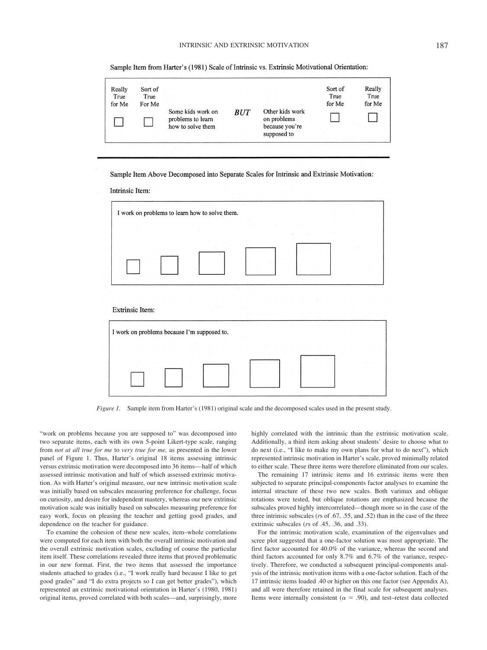Sample Item from Harter's (1981) Scale of Intrinsic vs. Extrinsic Motivational Orientation:

| Really<br>True<br>for Me | Sort of<br>True<br>For Me |                                                             |     |                                                                 | Sort of<br>True<br>for Me | Really<br>True<br>for Me |
|--------------------------|---------------------------|-------------------------------------------------------------|-----|-----------------------------------------------------------------|---------------------------|--------------------------|
|                          |                           | Some kids work on<br>problems to learn<br>how to solve them | BUT | Other kids work<br>on problems<br>because you're<br>supposed to |                           |                          |

Sample Item Above Decomposed into Separate Scales for Intrinsic and Extrinsic Motivation:

#### Intrinsic Item:

| I work on problems to learn how to solve them. |  |  |
|------------------------------------------------|--|--|
|                                                |  |  |
|                                                |  |  |
|                                                |  |  |

**Extrinsic Item:** 

| I work on problems because I'm supposed to. |  |  |  |
|---------------------------------------------|--|--|--|
|                                             |  |  |  |

*Figure 1.* Sample item from Harter's (1981) original scale and the decomposed scales used in the present study.

"work on problems because you are supposed to" was decomposed into two separate items, each with its own 5-point Likert-type scale, ranging from *not at all true for me* to *very true for me,* as presented in the lower panel of Figure 1. Thus, Harter's original 18 items assessing intrinsic versus extrinsic motivation were decomposed into 36 items— half of which assessed intrinsic motivation and half of which assessed extrinsic motivation. As with Harter's original measure, our new intrinsic motivation scale was initially based on subscales measuring preference for challenge, focus on curiosity, and desire for independent mastery, whereas our new extrinsic motivation scale was initially based on subscales measuring preference for easy work, focus on pleasing the teacher and getting good grades, and dependence on the teacher for guidance.

To examine the cohesion of these new scales, item–whole correlations were computed for each item with both the overall intrinsic motivation and the overall extrinsic motivation scales, excluding of course the particular item itself. These correlations revealed three items that proved problematic in our new format. First, the two items that assessed the importance students attached to grades (i.e., "I work really hard because I like to get good grades" and "I do extra projects so I can get better grades"), which represented an extrinsic motivational orientation in Harter's (1980, 1981) original items, proved correlated with both scales—and, surprisingly, more

highly correlated with the intrinsic than the extrinsic motivation scale. Additionally, a third item asking about students' desire to choose what to do next (i.e., "I like to make my own plans for what to do next"), which represented intrinsic motivation in Harter's scale, proved minimally related to either scale. These three items were therefore eliminated from our scales.

The remaining 17 intrinsic items and 16 extrinsic items were then subjected to separate principal-components factor analyses to examine the internal structure of these two new scales. Both varimax and oblique rotations were tested, but oblique rotations are emphasized because the subscales proved highly intercorrelated—though more so in the case of the three intrinsic subscales (*r*s of .67, .55, and .52) than in the case of the three extrinsic subscales (*r*s of .45, .36, and .33).

For the intrinsic motivation scale, examination of the eigenvalues and scree plot suggested that a one-factor solution was most appropriate. The first factor accounted for 40.0% of the variance, whereas the second and third factors accounted for only 8.7% and 6.7% of the variance, respectively. Therefore, we conducted a subsequent principal-components analysis of the intrinsic motivation items with a one-factor solution. Each of the 17 intrinsic items loaded .40 or higher on this one factor (see Appendix A), and all were therefore retained in the final scale for subsequent analyses. Items were internally consistent ( $\alpha = .90$ ), and test–retest data collected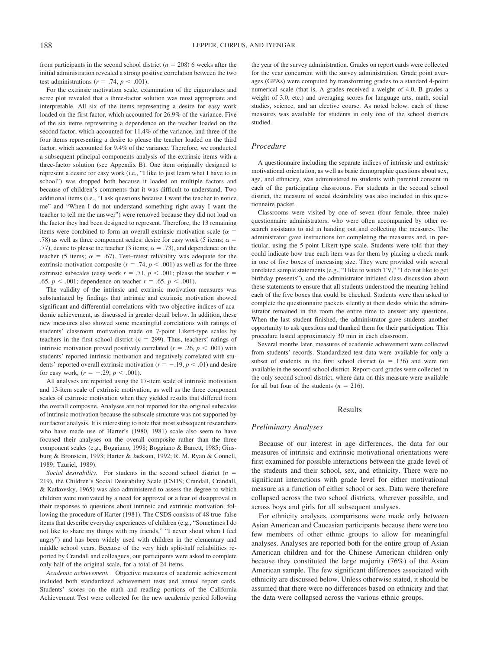from participants in the second school district ( $n = 208$ ) 6 weeks after the initial administration revealed a strong positive correlation between the two test administrations ( $r = .74$ ,  $p < .001$ ).

For the extrinsic motivation scale, examination of the eigenvalues and scree plot revealed that a three-factor solution was most appropriate and interpretable. All six of the items representing a desire for easy work loaded on the first factor, which accounted for 26.9% of the variance. Five of the six items representing a dependence on the teacher loaded on the second factor, which accounted for 11.4% of the variance, and three of the four items representing a desire to please the teacher loaded on the third factor, which accounted for 9.4% of the variance. Therefore, we conducted a subsequent principal-components analysis of the extrinsic items with a three-factor solution (see Appendix B). One item originally designed to represent a desire for easy work (i.e., "I like to just learn what I have to in school") was dropped both because it loaded on multiple factors and because of children's comments that it was difficult to understand. Two additional items (i.e., "I ask questions because I want the teacher to notice me" and "When I do not understand something right away I want the teacher to tell me the answer") were removed because they did not load on the factor they had been designed to represent. Therefore, the 13 remaining items were combined to form an overall extrinsic motivation scale ( $\alpha$  = .78) as well as three component scales: desire for easy work (5 items;  $\alpha$  = .77), desire to please the teacher (3 items;  $\alpha = .73$ ), and dependence on the teacher (5 items;  $\alpha = .67$ ). Test–retest reliability was adequate for the extrinsic motivation composite ( $r = .74$ ,  $p < .001$ ) as well as for the three extrinsic subscales (easy work  $r = .71$ ,  $p < .001$ ; please the teacher  $r =$ .65,  $p < .001$ ; dependence on teacher  $r = .65$ ,  $p < .001$ ).

The validity of the intrinsic and extrinsic motivation measures was substantiated by findings that intrinsic and extrinsic motivation showed significant and differential correlations with two objective indices of academic achievement, as discussed in greater detail below. In addition, these new measures also showed some meaningful correlations with ratings of students' classroom motivation made on 7-point Likert-type scales by teachers in the first school district  $(n = 299)$ . Thus, teachers' ratings of intrinsic motivation proved positively correlated  $(r = .26, p < .001)$  with students' reported intrinsic motivation and negatively correlated with students' reported overall extrinsic motivation ( $r = -19$ ,  $p < .01$ ) and desire for easy work,  $(r = -.29, p < .001)$ .

All analyses are reported using the 17-item scale of intrinsic motivation and 13-item scale of extrinsic motivation, as well as the three component scales of extrinsic motivation when they yielded results that differed from the overall composite. Analyses are not reported for the original subscales of intrinsic motivation because the subscale structure was not supported by our factor analysis. It is interesting to note that most subsequent researchers who have made use of Harter's (1980, 1981) scale also seem to have focused their analyses on the overall composite rather than the three component scales (e.g., Boggiano, 1998; Boggiano & Barrett, 1985; Ginsburg & Bronstein, 1993; Harter & Jackson, 1992; R. M. Ryan & Connell, 1989; Tzuriel, 1989).

*Social desirability.* For students in the second school district  $(n = 1)$ 219), the Children's Social Desirability Scale (CSDS; Crandall, Crandall, & Katkovsky, 1965) was also administered to assess the degree to which children were motivated by a need for approval or a fear of disapproval in their responses to questions about intrinsic and extrinsic motivation, following the procedure of Harter (1981). The CSDS consists of 48 true–false items that describe everyday experiences of children (e.g., "Sometimes I do not like to share my things with my friends," "I never shout when I feel angry") and has been widely used with children in the elementary and middle school years. Because of the very high split-half reliabilities reported by Crandall and colleagues, our participants were asked to complete only half of the original scale, for a total of 24 items.

*Academic achievement.* Objective measures of academic achievement included both standardized achievement tests and annual report cards. Students' scores on the math and reading portions of the California Achievement Test were collected for the new academic period following

the year of the survey administration. Grades on report cards were collected for the year concurrent with the survey administration. Grade point averages (GPAs) were computed by transforming grades to a standard 4-point numerical scale (that is, A grades received a weight of 4.0, B grades a weight of 3.0, etc.) and averaging scores for language arts, math, social studies, science, and an elective course. As noted below, each of these measures was available for students in only one of the school districts studied.

#### *Procedure*

A questionnaire including the separate indices of intrinsic and extrinsic motivational orientation, as well as basic demographic questions about sex, age, and ethnicity, was administered to students with parental consent in each of the participating classrooms. For students in the second school district, the measure of social desirability was also included in this questionnaire packet.

Classrooms were visited by one of seven (four female, three male) questionnaire administrators, who were often accompanied by other research assistants to aid in handing out and collecting the measures. The administrator gave instructions for completing the measures and, in particular, using the 5-point Likert-type scale. Students were told that they could indicate how true each item was for them by placing a check mark in one of five boxes of increasing size. They were provided with several unrelated sample statements (e.g., "I like to watch TV," "I do not like to get birthday presents"), and the administrator initiated class discussion about these statements to ensure that all students understood the meaning behind each of the five boxes that could be checked. Students were then asked to complete the questionnaire packets silently at their desks while the administrator remained in the room the entire time to answer any questions. When the last student finished, the administrator gave students another opportunity to ask questions and thanked them for their participation. This procedure lasted approximately 30 min in each classroom.

Several months later, measures of academic achievement were collected from students' records. Standardized test data were available for only a subset of students in the first school district  $(n = 136)$  and were not available in the second school district. Report-card grades were collected in the only second school district, where data on this measure were available for all but four of the students  $(n = 216)$ .

#### Results

#### *Preliminary Analyses*

Because of our interest in age differences, the data for our measures of intrinsic and extrinsic motivational orientations were first examined for possible interactions between the grade level of the students and their school, sex, and ethnicity. There were no significant interactions with grade level for either motivational measure as a function of either school or sex. Data were therefore collapsed across the two school districts, wherever possible, and across boys and girls for all subsequent analyses.

For ethnicity analyses, comparisons were made only between Asian American and Caucasian participants because there were too few members of other ethnic groups to allow for meaningful analyses. Analyses are reported both for the entire group of Asian American children and for the Chinese American children only because they constituted the large majority (76%) of the Asian American sample. The few significant differences associated with ethnicity are discussed below. Unless otherwise stated, it should be assumed that there were no differences based on ethnicity and that the data were collapsed across the various ethnic groups.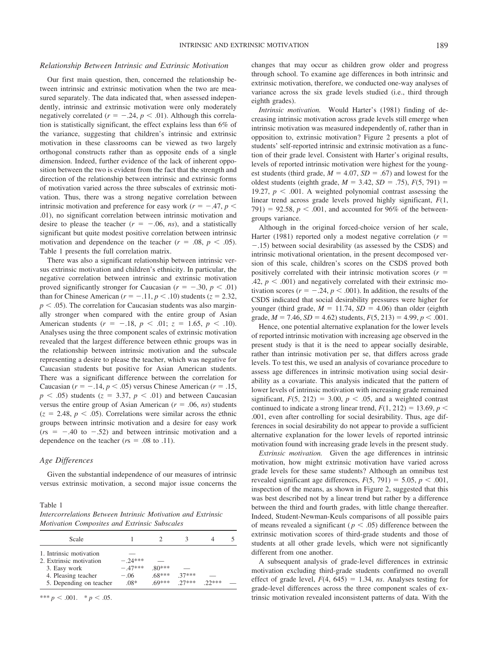## *Relationship Between Intrinsic and Extrinsic Motivation*

Our first main question, then, concerned the relationship between intrinsic and extrinsic motivation when the two are measured separately. The data indicated that, when assessed independently, intrinsic and extrinsic motivation were only moderately negatively correlated ( $r = -.24$ ,  $p < .01$ ). Although this correlation is statistically significant, the effect explains less than 6% of the variance, suggesting that children's intrinsic and extrinsic motivation in these classrooms can be viewed as two largely orthogonal constructs rather than as opposite ends of a single dimension. Indeed, further evidence of the lack of inherent opposition between the two is evident from the fact that the strength and direction of the relationship between intrinsic and extrinsic forms of motivation varied across the three subscales of extrinsic motivation. Thus, there was a strong negative correlation between intrinsic motivation and preference for easy work ( $r = -.47$ ,  $p <$ .01), no significant correlation between intrinsic motivation and desire to please the teacher  $(r = -.06, ns)$ , and a statistically significant but quite modest positive correlation between intrinsic motivation and dependence on the teacher  $(r = .08, p < .05)$ . Table 1 presents the full correlation matrix.

There was also a significant relationship between intrinsic versus extrinsic motivation and children's ethnicity. In particular, the negative correlation between intrinsic and extrinsic motivation proved significantly stronger for Caucasian ( $r = -.30, p < .01$ ) than for Chinese American ( $r = -.11, p < .10$ ) students ( $z = 2.32$ ,  $p < .05$ ). The correlation for Caucasian students was also marginally stronger when compared with the entire group of Asian American students  $(r = -.18, p < .01; z = 1.65, p < .10)$ . Analyses using the three component scales of extrinsic motivation revealed that the largest difference between ethnic groups was in the relationship between intrinsic motivation and the subscale representing a desire to please the teacher, which was negative for Caucasian students but positive for Asian American students. There was a significant difference between the correlation for Caucasian ( $r = -.14$ ,  $p < .05$ ) versus Chinese American ( $r = .15$ ,  $p \leq 0.05$ ) students ( $z = 3.37$ ,  $p \leq 0.01$ ) and between Caucasian versus the entire group of Asian American ( $r = .06$ , *ns*) students  $(z = 2.48, p < .05)$ . Correlations were similar across the ethnic groups between intrinsic motivation and a desire for easy work  $(r_s = -.40 \text{ to } -.52)$  and between intrinsic motivation and a dependence on the teacher  $(rs = .08 \text{ to } .11)$ .

### *Age Differences*

Given the substantial independence of our measures of intrinsic versus extrinsic motivation, a second major issue concerns the

Table 1

|                                               |  | Intercorrelations Between Intrinsic Motivation and Extrinsic |
|-----------------------------------------------|--|--------------------------------------------------------------|
| Motivation Composites and Extrinsic Subscales |  |                                                              |

| Scale                                              |                    |                      |         |       |  |
|----------------------------------------------------|--------------------|----------------------|---------|-------|--|
| 1. Intrinsic motivation<br>2. Extrinsic motivation | $-24***$           |                      |         |       |  |
| 3. Easy work<br>4. Pleasing teacher                | $-47***$<br>$-.06$ | $.80***$<br>$.68***$ | $37***$ |       |  |
| 5. Depending on teacher                            | $.08*$             | 60***                | $27***$ | つつ*** |  |

\*\*\*  $p < .001$ . \*  $p < .05$ .

changes that may occur as children grow older and progress through school. To examine age differences in both intrinsic and extrinsic motivation, therefore, we conducted one-way analyses of variance across the six grade levels studied (i.e., third through eighth grades).

*Intrinsic motivation.* Would Harter's (1981) finding of decreasing intrinsic motivation across grade levels still emerge when intrinsic motivation was measured independently of, rather than in opposition to, extrinsic motivation? Figure 2 presents a plot of students' self-reported intrinsic and extrinsic motivation as a function of their grade level. Consistent with Harter's original results, levels of reported intrinsic motivation were highest for the youngest students (third grade,  $M = 4.07$ ,  $SD = .67$ ) and lowest for the oldest students (eighth grade,  $M = 3.42$ ,  $SD = .75$ ),  $F(5, 791) =$ 19.27,  $p < .001$ . A weighted polynomial contrast assessing the linear trend across grade levels proved highly significant, *F*(1,  $791$ ) = 92.58,  $p < .001$ , and accounted for 96% of the betweengroups variance.

Although in the original forced-choice version of her scale, Harter (1981) reported only a modest negative correlation  $(r =$ .15) between social desirability (as assessed by the CSDS) and intrinsic motivational orientation, in the present decomposed version of this scale, children's scores on the CSDS proved both positively correlated with their intrinsic motivation scores (*r*  $.42, p < .001$ ) and negatively correlated with their extrinsic motivation scores ( $r = -.24$ ,  $p < .001$ ). In addition, the results of the CSDS indicated that social desirability pressures were higher for younger (third grade,  $M = 11.74$ ,  $SD = 4.06$ ) than older (eighth grade,  $M = 7.46$ ,  $SD = 4.62$ ) students,  $F(5, 213) = 4.99$ ,  $p < .001$ .

Hence, one potential alternative explanation for the lower levels of reported intrinsic motivation with increasing age observed in the present study is that it is the need to appear socially desirable, rather than intrinsic motivation per se, that differs across grade levels. To test this, we used an analysis of covariance procedure to assess age differences in intrinsic motivation using social desirability as a covariate. This analysis indicated that the pattern of lower levels of intrinsic motivation with increasing grade remained significant,  $F(5, 212) = 3.00$ ,  $p < .05$ , and a weighted contrast continued to indicate a strong linear trend,  $F(1, 212) = 13.69$ ,  $p <$ .001, even after controlling for social desirability. Thus, age differences in social desirability do not appear to provide a sufficient alternative explanation for the lower levels of reported intrinsic motivation found with increasing grade levels in the present study.

*Extrinsic motivation.* Given the age differences in intrinsic motivation, how might extrinsic motivation have varied across grade levels for these same students? Although an omnibus test revealed significant age differences,  $F(5, 791) = 5.05$ ,  $p < .001$ , inspection of the means, as shown in Figure 2, suggested that this was best described not by a linear trend but rather by a difference between the third and fourth grades, with little change thereafter. Indeed, Student-Newman-Keuls comparisons of all possible pairs of means revealed a significant ( $p < .05$ ) difference between the extrinsic motivation scores of third-grade students and those of students at all other grade levels, which were not significantly different from one another.

A subsequent analysis of grade-level differences in extrinsic motivation excluding third-grade students confirmed no overall effect of grade level,  $F(4, 645) = 1.34$ , *ns*. Analyses testing for grade-level differences across the three component scales of extrinsic motivation revealed inconsistent patterns of data. With the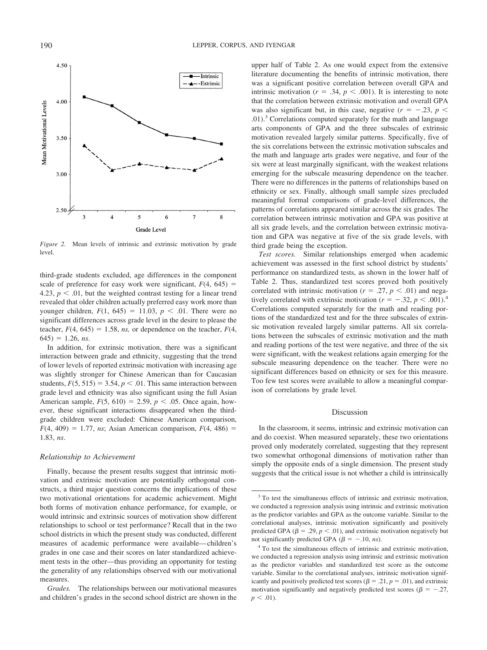

*Figure 2.* Mean levels of intrinsic and extrinsic motivation by grade level.

third-grade students excluded, age differences in the component scale of preference for easy work were significant,  $F(4, 645)$  = 4.23,  $p < 0.01$ , but the weighted contrast testing for a linear trend revealed that older children actually preferred easy work more than younger children,  $F(1, 645) = 11.03$ ,  $p < .01$ . There were no significant differences across grade level in the desire to please the teacher,  $F(4, 645) = 1.58$ , *ns*, or dependence on the teacher,  $F(4, 645)$  $645$ ) = 1.26, *ns*.

In addition, for extrinsic motivation, there was a significant interaction between grade and ethnicity, suggesting that the trend of lower levels of reported extrinsic motivation with increasing age was slightly stronger for Chinese American than for Caucasian students,  $F(5, 515) = 3.54$ ,  $p < .01$ . This same interaction between grade level and ethnicity was also significant using the full Asian American sample,  $F(5, 610) = 2.59$ ,  $p < .05$ . Once again, however, these significant interactions disappeared when the thirdgrade children were excluded: Chinese American comparison,  $F(4, 409) = 1.77$ , *ns*; Asian American comparison,  $F(4, 486) =$ 1.83, *ns*.

#### *Relationship to Achievement*

Finally, because the present results suggest that intrinsic motivation and extrinsic motivation are potentially orthogonal constructs, a third major question concerns the implications of these two motivational orientations for academic achievement. Might both forms of motivation enhance performance, for example, or would intrinsic and extrinsic sources of motivation show different relationships to school or test performance? Recall that in the two school districts in which the present study was conducted, different measures of academic performance were available— children's grades in one case and their scores on later standardized achievement tests in the other—thus providing an opportunity for testing the generality of any relationships observed with our motivational measures.

*Grades.* The relationships between our motivational measures and children's grades in the second school district are shown in the

upper half of Table 2. As one would expect from the extensive literature documenting the benefits of intrinsic motivation, there was a significant positive correlation between overall GPA and intrinsic motivation ( $r = .34$ ,  $p < .001$ ). It is interesting to note that the correlation between extrinsic motivation and overall GPA was also significant but, in this case, negative  $(r = -.23, p <$  $.01$ .<sup>3</sup> Correlations computed separately for the math and language arts components of GPA and the three subscales of extrinsic motivation revealed largely similar patterns. Specifically, five of the six correlations between the extrinsic motivation subscales and the math and language arts grades were negative, and four of the six were at least marginally significant, with the weakest relations emerging for the subscale measuring dependence on the teacher. There were no differences in the patterns of relationships based on ethnicity or sex. Finally, although small sample sizes precluded meaningful formal comparisons of grade-level differences, the patterns of correlations appeared similar across the six grades. The correlation between intrinsic motivation and GPA was positive at all six grade levels, and the correlation between extrinsic motivation and GPA was negative at five of the six grade levels, with third grade being the exception.

*Test scores.* Similar relationships emerged when academic achievement was assessed in the first school district by students' performance on standardized tests, as shown in the lower half of Table 2. Thus, standardized test scores proved both positively correlated with intrinsic motivation ( $r = .27$ ,  $p < .01$ ) and negatively correlated with extrinsic motivation ( $r = -.32$ ,  $p < .001$ ).<sup>4</sup> Correlations computed separately for the math and reading portions of the standardized test and for the three subscales of extrinsic motivation revealed largely similar patterns. All six correlations between the subscales of extrinsic motivation and the math and reading portions of the test were negative, and three of the six were significant, with the weakest relations again emerging for the subscale measuring dependence on the teacher. There were no significant differences based on ethnicity or sex for this measure. Too few test scores were available to allow a meaningful comparison of correlations by grade level.

#### Discussion

In the classroom, it seems, intrinsic and extrinsic motivation can and do coexist. When measured separately, these two orientations proved only moderately correlated, suggesting that they represent two somewhat orthogonal dimensions of motivation rather than simply the opposite ends of a single dimension. The present study suggests that the critical issue is not whether a child is intrinsically

<sup>&</sup>lt;sup>3</sup> To test the simultaneous effects of intrinsic and extrinsic motivation, we conducted a regression analysis using intrinsic and extrinsic motivation as the predictor variables and GPA as the outcome variable. Similar to the correlational analyses, intrinsic motivation significantly and positively predicted GPA ( $\beta = .29$ ,  $p < .01$ ), and extrinsic motivation negatively but not significantly predicted GPA ( $\beta = -.10$ , *ns*).

<sup>4</sup> To test the simultaneous effects of intrinsic and extrinsic motivation, we conducted a regression analysis using intrinsic and extrinsic motivation as the predictor variables and standardized test score as the outcome variable. Similar to the correlational analyses, intrinsic motivation significantly and positively predicted test scores ( $\beta = .21$ ,  $p = .01$ ), and extrinsic motivation significantly and negatively predicted test scores ( $\beta = -.27$ ,  $p < .01$ ).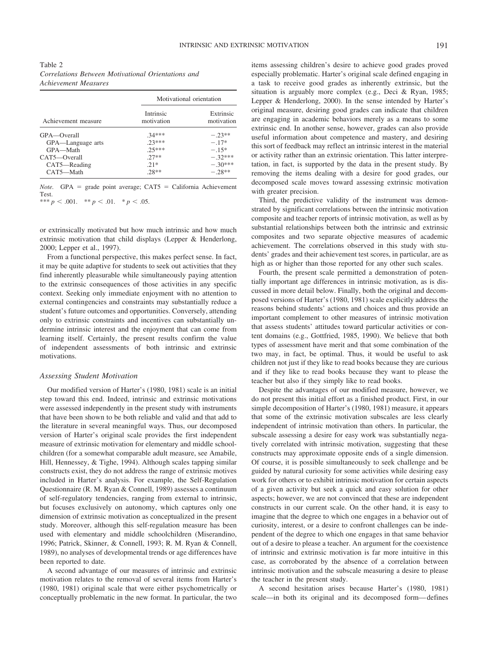Table 2 *Correlations Between Motivational Orientations and Achievement Measures*

|                     | Motivational orientation |                         |  |  |
|---------------------|--------------------------|-------------------------|--|--|
| Achievement measure | Intrinsic<br>motivation  | Extrinsic<br>motivation |  |  |
| GPA-Overall         | $34***$                  | $-23**$                 |  |  |
| GPA—Language arts   | $23***$                  | $-17*$                  |  |  |
| GPA-Math            | $25***$                  | $-15*$                  |  |  |
| CAT5-Overall        | $27**$                   | $-.32***$               |  |  |
| $CAT5$ —Reading     | $21*$                    | $-30***$                |  |  |
| CAT5-Math           | $28**$                   | $-28**$                 |  |  |

*Note.* GPA = grade point average; CAT5 = California Achievement Test.

\*\*\* *p* < .001. \*\* *p* < .01. \* *p* < .05.

or extrinsically motivated but how much intrinsic and how much extrinsic motivation that child displays (Lepper & Henderlong, 2000; Lepper et al., 1997).

From a functional perspective, this makes perfect sense. In fact, it may be quite adaptive for students to seek out activities that they find inherently pleasurable while simultaneously paying attention to the extrinsic consequences of those activities in any specific context. Seeking only immediate enjoyment with no attention to external contingencies and constraints may substantially reduce a student's future outcomes and opportunities. Conversely, attending only to extrinsic constraints and incentives can substantially undermine intrinsic interest and the enjoyment that can come from learning itself. Certainly, the present results confirm the value of independent assessments of both intrinsic and extrinsic motivations.

#### *Assessing Student Motivation*

Our modified version of Harter's (1980, 1981) scale is an initial step toward this end. Indeed, intrinsic and extrinsic motivations were assessed independently in the present study with instruments that have been shown to be both reliable and valid and that add to the literature in several meaningful ways. Thus, our decomposed version of Harter's original scale provides the first independent measure of extrinsic motivation for elementary and middle schoolchildren (for a somewhat comparable adult measure, see Amabile, Hill, Hennessey, & Tighe, 1994). Although scales tapping similar constructs exist, they do not address the range of extrinsic motives included in Harter's analysis. For example, the Self-Regulation Questionnaire (R. M. Ryan & Connell, 1989) assesses a continuum of self-regulatory tendencies, ranging from external to intrinsic, but focuses exclusively on autonomy, which captures only one dimension of extrinsic motivation as conceptualized in the present study. Moreover, although this self-regulation measure has been used with elementary and middle schoolchildren (Miserandino, 1996; Patrick, Skinner, & Connell, 1993; R. M. Ryan & Connell, 1989), no analyses of developmental trends or age differences have been reported to date.

A second advantage of our measures of intrinsic and extrinsic motivation relates to the removal of several items from Harter's (1980, 1981) original scale that were either psychometrically or conceptually problematic in the new format. In particular, the two items assessing children's desire to achieve good grades proved especially problematic. Harter's original scale defined engaging in a task to receive good grades as inherently extrinsic, but the situation is arguably more complex (e.g., Deci & Ryan, 1985; Lepper & Henderlong, 2000). In the sense intended by Harter's original measure, desiring good grades can indicate that children are engaging in academic behaviors merely as a means to some extrinsic end. In another sense, however, grades can also provide useful information about competence and mastery, and desiring this sort of feedback may reflect an intrinsic interest in the material or activity rather than an extrinsic orientation. This latter interpretation, in fact, is supported by the data in the present study. By removing the items dealing with a desire for good grades, our decomposed scale moves toward assessing extrinsic motivation with greater precision.

Third, the predictive validity of the instrument was demonstrated by significant correlations between the intrinsic motivation composite and teacher reports of intrinsic motivation, as well as by substantial relationships between both the intrinsic and extrinsic composites and two separate objective measures of academic achievement. The correlations observed in this study with students' grades and their achievement test scores, in particular, are as high as or higher than those reported for any other such scales.

Fourth, the present scale permitted a demonstration of potentially important age differences in intrinsic motivation, as is discussed in more detail below. Finally, both the original and decomposed versions of Harter's (1980, 1981) scale explicitly address the reasons behind students' actions and choices and thus provide an important complement to other measures of intrinsic motivation that assess students' attitudes toward particular activities or content domains (e.g., Gottfried, 1985, 1990). We believe that both types of assessment have merit and that some combination of the two may, in fact, be optimal. Thus, it would be useful to ask children not just if they like to read books because they are curious and if they like to read books because they want to please the teacher but also if they simply like to read books.

Despite the advantages of our modified measure, however, we do not present this initial effort as a finished product. First, in our simple decomposition of Harter's (1980, 1981) measure, it appears that some of the extrinsic motivation subscales are less clearly independent of intrinsic motivation than others. In particular, the subscale assessing a desire for easy work was substantially negatively correlated with intrinsic motivation, suggesting that these constructs may approximate opposite ends of a single dimension. Of course, it is possible simultaneously to seek challenge and be guided by natural curiosity for some activities while desiring easy work for others or to exhibit intrinsic motivation for certain aspects of a given activity but seek a quick and easy solution for other aspects; however, we are not convinced that these are independent constructs in our current scale. On the other hand, it is easy to imagine that the degree to which one engages in a behavior out of curiosity, interest, or a desire to confront challenges can be independent of the degree to which one engages in that same behavior out of a desire to please a teacher. An argument for the coexistence of intrinsic and extrinsic motivation is far more intuitive in this case, as corroborated by the absence of a correlation between intrinsic motivation and the subscale measuring a desire to please the teacher in the present study.

A second hesitation arises because Harter's (1980, 1981) scale—in both its original and its decomposed form— defines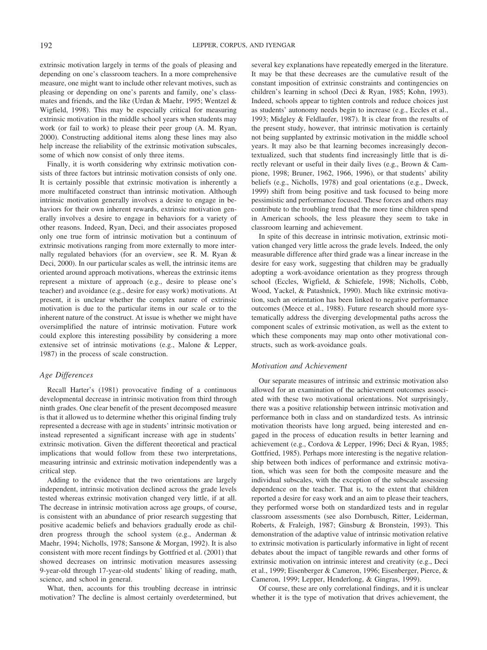extrinsic motivation largely in terms of the goals of pleasing and depending on one's classroom teachers. In a more comprehensive measure, one might want to include other relevant motives, such as pleasing or depending on one's parents and family, one's classmates and friends, and the like (Urdan & Maehr, 1995; Wentzel & Wigfield, 1998). This may be especially critical for measuring extrinsic motivation in the middle school years when students may work (or fail to work) to please their peer group (A. M. Ryan, 2000). Constructing additional items along these lines may also help increase the reliability of the extrinsic motivation subscales, some of which now consist of only three items.

Finally, it is worth considering why extrinsic motivation consists of three factors but intrinsic motivation consists of only one. It is certainly possible that extrinsic motivation is inherently a more multifaceted construct than intrinsic motivation. Although intrinsic motivation generally involves a desire to engage in behaviors for their own inherent rewards, extrinsic motivation generally involves a desire to engage in behaviors for a variety of other reasons. Indeed, Ryan, Deci, and their associates proposed only one true form of intrinsic motivation but a continuum of extrinsic motivations ranging from more externally to more internally regulated behaviors (for an overview, see R. M. Ryan & Deci, 2000). In our particular scales as well, the intrinsic items are oriented around approach motivations, whereas the extrinsic items represent a mixture of approach (e.g., desire to please one's teacher) and avoidance (e.g., desire for easy work) motivations. At present, it is unclear whether the complex nature of extrinsic motivation is due to the particular items in our scale or to the inherent nature of the construct. At issue is whether we might have oversimplified the nature of intrinsic motivation. Future work could explore this interesting possibility by considering a more extensive set of intrinsic motivations (e.g., Malone & Lepper, 1987) in the process of scale construction.

# *Age Differences*

Recall Harter's (1981) provocative finding of a continuous developmental decrease in intrinsic motivation from third through ninth grades. One clear benefit of the present decomposed measure is that it allowed us to determine whether this original finding truly represented a decrease with age in students' intrinsic motivation or instead represented a significant increase with age in students' extrinsic motivation. Given the different theoretical and practical implications that would follow from these two interpretations, measuring intrinsic and extrinsic motivation independently was a critical step.

Adding to the evidence that the two orientations are largely independent, intrinsic motivation declined across the grade levels tested whereas extrinsic motivation changed very little, if at all. The decrease in intrinsic motivation across age groups, of course, is consistent with an abundance of prior research suggesting that positive academic beliefs and behaviors gradually erode as children progress through the school system (e.g., Anderman & Maehr, 1994; Nicholls, 1978; Sansone & Morgan, 1992). It is also consistent with more recent findings by Gottfried et al. (2001) that showed decreases on intrinsic motivation measures assessing 9-year-old through 17-year-old students' liking of reading, math, science, and school in general.

What, then, accounts for this troubling decrease in intrinsic motivation? The decline is almost certainly overdetermined, but several key explanations have repeatedly emerged in the literature. It may be that these decreases are the cumulative result of the constant imposition of extrinsic constraints and contingencies on children's learning in school (Deci & Ryan, 1985; Kohn, 1993). Indeed, schools appear to tighten controls and reduce choices just as students' autonomy needs begin to increase (e.g., Eccles et al., 1993; Midgley & Feldlaufer, 1987). It is clear from the results of the present study, however, that intrinsic motivation is certainly not being supplanted by extrinsic motivation in the middle school years. It may also be that learning becomes increasingly decontextualized, such that students find increasingly little that is directly relevant or useful in their daily lives (e.g., Brown & Campione, 1998; Bruner, 1962, 1966, 1996), or that students' ability beliefs (e.g., Nicholls, 1978) and goal orientations (e.g., Dweck, 1999) shift from being positive and task focused to being more pessimistic and performance focused. These forces and others may contribute to the troubling trend that the more time children spend in American schools, the less pleasure they seem to take in classroom learning and achievement.

In spite of this decrease in intrinsic motivation, extrinsic motivation changed very little across the grade levels. Indeed, the only measurable difference after third grade was a linear increase in the desire for easy work, suggesting that children may be gradually adopting a work-avoidance orientation as they progress through school (Eccles, Wigfield, & Schiefele, 1998; Nicholls, Cobb, Wood, Yackel, & Patashnick, 1990). Much like extrinsic motivation, such an orientation has been linked to negative performance outcomes (Meece et al., 1988). Future research should more systematically address the diverging developmental paths across the component scales of extrinsic motivation, as well as the extent to which these components may map onto other motivational constructs, such as work-avoidance goals.

## *Motivation and Achievement*

Our separate measures of intrinsic and extrinsic motivation also allowed for an examination of the achievement outcomes associated with these two motivational orientations. Not surprisingly, there was a positive relationship between intrinsic motivation and performance both in class and on standardized tests. As intrinsic motivation theorists have long argued, being interested and engaged in the process of education results in better learning and achievement (e.g., Cordova & Lepper, 1996; Deci & Ryan, 1985; Gottfried, 1985). Perhaps more interesting is the negative relationship between both indices of performance and extrinsic motivation, which was seen for both the composite measure and the individual subscales, with the exception of the subscale assessing dependence on the teacher. That is, to the extent that children reported a desire for easy work and an aim to please their teachers, they performed worse both on standardized tests and in regular classroom assessments (see also Dornbusch, Ritter, Leiderman, Roberts, & Fraleigh, 1987; Ginsburg & Bronstein, 1993). This demonstration of the adaptive value of intrinsic motivation relative to extrinsic motivation is particularly informative in light of recent debates about the impact of tangible rewards and other forms of extrinsic motivation on intrinsic interest and creativity (e.g., Deci et al., 1999; Eisenberger & Cameron, 1996; Eisenberger, Pierce, & Cameron, 1999; Lepper, Henderlong, & Gingras, 1999).

Of course, these are only correlational findings, and it is unclear whether it is the type of motivation that drives achievement, the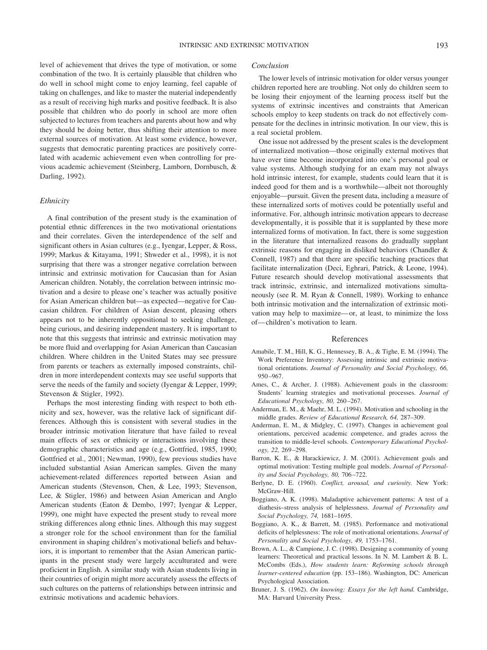level of achievement that drives the type of motivation, or some combination of the two. It is certainly plausible that children who do well in school might come to enjoy learning, feel capable of taking on challenges, and like to master the material independently as a result of receiving high marks and positive feedback. It is also possible that children who do poorly in school are more often subjected to lectures from teachers and parents about how and why they should be doing better, thus shifting their attention to more external sources of motivation. At least some evidence, however, suggests that democratic parenting practices are positively correlated with academic achievement even when controlling for previous academic achievement (Steinberg, Lamborn, Dornbusch, & Darling, 1992).

#### *Ethnicity*

A final contribution of the present study is the examination of potential ethnic differences in the two motivational orientations and their correlates. Given the interdependence of the self and significant others in Asian cultures (e.g., Iyengar, Lepper, & Ross, 1999; Markus & Kitayama, 1991; Shweder et al., 1998), it is not surprising that there was a stronger negative correlation between intrinsic and extrinsic motivation for Caucasian than for Asian American children. Notably, the correlation between intrinsic motivation and a desire to please one's teacher was actually positive for Asian American children but—as expected—negative for Caucasian children. For children of Asian descent, pleasing others appears not to be inherently oppositional to seeking challenge, being curious, and desiring independent mastery. It is important to note that this suggests that intrinsic and extrinsic motivation may be more fluid and overlapping for Asian American than Caucasian children. Where children in the United States may see pressure from parents or teachers as externally imposed constraints, children in more interdependent contexts may see useful supports that serve the needs of the family and society (Iyengar & Lepper, 1999; Stevenson & Stigler, 1992).

Perhaps the most interesting finding with respect to both ethnicity and sex, however, was the relative lack of significant differences. Although this is consistent with several studies in the broader intrinsic motivation literature that have failed to reveal main effects of sex or ethnicity or interactions involving these demographic characteristics and age (e.g., Gottfried, 1985, 1990; Gottfried et al., 2001; Newman, 1990), few previous studies have included substantial Asian American samples. Given the many achievement-related differences reported between Asian and American students (Stevenson, Chen, & Lee, 1993; Stevenson, Lee, & Stigler, 1986) and between Asian American and Anglo American students (Eaton & Dembo, 1997; Iyengar & Lepper, 1999), one might have expected the present study to reveal more striking differences along ethnic lines. Although this may suggest a stronger role for the school environment than for the familial environment in shaping children's motivational beliefs and behaviors, it is important to remember that the Asian American participants in the present study were largely acculturated and were proficient in English. A similar study with Asian students living in their countries of origin might more accurately assess the effects of such cultures on the patterns of relationships between intrinsic and extrinsic motivations and academic behaviors.

#### *Conclusion*

The lower levels of intrinsic motivation for older versus younger children reported here are troubling. Not only do children seem to be losing their enjoyment of the learning process itself but the systems of extrinsic incentives and constraints that American schools employ to keep students on track do not effectively compensate for the declines in intrinsic motivation. In our view, this is a real societal problem.

One issue not addressed by the present scales is the development of internalized motivation—those originally external motives that have over time become incorporated into one's personal goal or value systems. Although studying for an exam may not always hold intrinsic interest, for example, students could learn that it is indeed good for them and is a worthwhile—albeit not thoroughly enjoyable—pursuit. Given the present data, including a measure of these internalized sorts of motives could be potentially useful and informative. For, although intrinsic motivation appears to decrease developmentally, it is possible that it is supplanted by these more internalized forms of motivation. In fact, there is some suggestion in the literature that internalized reasons do gradually supplant extrinsic reasons for engaging in disliked behaviors (Chandler & Connell, 1987) and that there are specific teaching practices that facilitate internalization (Deci, Eghrari, Patrick, & Leone, 1994). Future research should develop motivational assessments that track intrinsic, extrinsic, and internalized motivations simultaneously (see R. M. Ryan & Connell, 1989). Working to enhance both intrinsic motivation and the internalization of extrinsic motivation may help to maximize— or, at least, to minimize the loss of— children's motivation to learn.

#### References

- Amabile, T. M., Hill, K. G., Hennessey, B. A., & Tighe, E. M. (1994). The Work Preference Inventory: Assessing intrinsic and extrinsic motivational orientations. *Journal of Personality and Social Psychology, 66,* 950 –967.
- Ames, C., & Archer, J. (1988). Achievement goals in the classroom: Students' learning strategies and motivational processes. *Journal of Educational Psychology, 80,* 260 –267.
- Anderman, E. M., & Maehr, M. L. (1994). Motivation and schooling in the middle grades. *Review of Educational Research, 64,* 287–309.
- Anderman, E. M., & Midgley, C. (1997). Changes in achievement goal orientations, perceived academic competence, and grades across the transition to middle-level schools. *Contemporary Educational Psychology, 22,* 269 –298.
- Barron, K. E., & Harackiewicz, J. M. (2001). Achievement goals and optimal motivation: Testing multiple goal models. *Journal of Personality and Social Psychology, 80,* 706 –722.
- Berlyne, D. E. (1960). *Conflict, arousal, and curiosity.* New York: McGraw-Hill.
- Boggiano, A. K. (1998). Maladaptive achievement patterns: A test of a diathesis–stress analysis of helplessness. *Journal of Personality and Social Psychology, 74,* 1681–1695.
- Boggiano, A. K., & Barrett, M. (1985). Performance and motivational deficits of helplessness: The role of motivational orientations. *Journal of Personality and Social Psychology, 49,* 1753–1761.
- Brown, A. L., & Campione, J. C. (1998). Designing a community of young learners: Theoretical and practical lessons. In N. M. Lambert & B. L. McCombs (Eds.), *How students learn: Reforming schools through learner-centered education* (pp. 153–186). Washington, DC: American Psychological Association.
- Bruner, J. S. (1962). *On knowing: Essays for the left hand.* Cambridge, MA: Harvard University Press.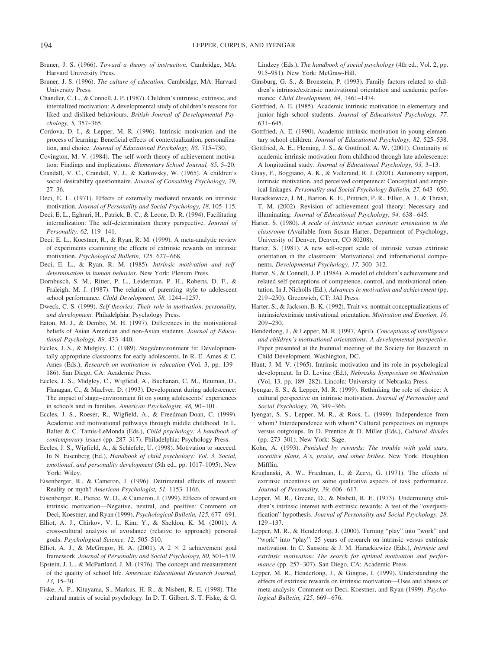- Bruner, J. S. (1966). *Toward a theory of instruction.* Cambridge, MA: Harvard University Press.
- Bruner, J. S. (1996). *The culture of education.* Cambridge, MA: Harvard University Press.
- Chandler, C. L., & Connell, J. P. (1987). Children's intrinsic, extrinsic, and internalized motivation: A developmental study of children's reasons for liked and disliked behaviours. *British Journal of Developmental Psychology, 5,* 357–365.
- Cordova, D. I., & Lepper, M. R. (1996). Intrinsic motivation and the process of learning: Beneficial effects of contextualization, personalization, and choice. *Journal of Educational Psychology, 88,* 715–730.
- Covington, M. V. (1984). The self-worth theory of achievement motivation: Findings and implications. *Elementary School Journal, 85,* 5–20.
- Crandall, V. C., Crandall, V. J., & Katkovsky, W. (1965). A children's social desirability questionnaire. *Journal of Consulting Psychology, 29,* 27–36.
- Deci, E. L. (1971). Effects of externally mediated rewards on intrinsic motivation. *Journal of Personality and Social Psychology, 18,* 105–115.
- Deci, E. L., Eghrari, H., Patrick, B. C., & Leone, D. R. (1994). Facilitating internalization: The self-determination theory perspective. *Journal of Personality, 62,* 119 –141.
- Deci, E. L., Koestner, R., & Ryan, R. M. (1999). A meta-analytic review of experiments examining the effects of extrinsic rewards on intrinsic motivation. *Psychological Bulletin, 125,* 627– 668.
- Deci, E. L., & Ryan, R. M. (1985). *Intrinsic motivation and selfdetermination in human behavior.* New York: Plenum Press.
- Dornbusch, S. M., Ritter, P. L., Leiderman, P. H., Roberts, D. F., & Fraleigh, M. J. (1987). The relation of parenting style to adolescent school performance. *Child Development, 58,* 1244 –1257.
- Dweck, C. S. (1999). *Self-theories: Their role in motivation, personality, and development.* Philadelphia: Psychology Press.
- Eaton, M. J., & Dembo, M. H. (1997). Differences in the motivational beliefs of Asian American and non-Asian students. *Journal of Educational Psychology, 89,* 433– 440.
- Eccles, J. S., & Midgley, C. (1989). Stage/environment fit: Developmentally appropriate classrooms for early adolescents. In R. E. Ames & C. Ames (Eds.), *Research on motivation in education* (Vol. 3, pp. 139 – 186). San Diego, CA: Academic Press.
- Eccles, J. S., Midgley, C., Wigfield, A., Buchanan, C. M., Reuman, D., Flanagan, C., & MacIver, D. (1993). Development during adolescence: The impact of stage– environment fit on young adolescents' experiences in schools and in families. *American Psychologist, 48,* 90 –101.
- Eccles, J. S., Roeser, R., Wigfield, A., & Freedman-Doan, C. (1999). Academic and motivational pathways through middle childhood. In L. Balter & C. Tamis-LeMonda (Eds.), *Child psychology: A handbook of contemporary issues* (pp. 287–317). Philadelphia: Psychology Press.
- Eccles, J. S., Wigfield, A., & Schiefele, U. (1998). Motivation to succeed. In N. Eisenberg (Ed.), *Handbook of child psychology: Vol. 3. Social, emotional, and personality development* (5th ed., pp. 1017–1095). New York: Wiley.
- Eisenberger, R., & Cameron, J. (1996). Detrimental effects of reward: Reality or myth? *American Psychologist, 51,* 1153–1166.
- Eisenberger, R., Pierce, W. D., & Cameron, J. (1999). Effects of reward on intrinsic motivation—Negative, neutral, and positive: Comment on Deci, Koestner, and Ryan (1999). *Psychological Bulletin, 125,* 677– 691.
- Elliot, A. J., Chirkov, V. I., Kim, Y., & Sheldon, K. M. (2001). A cross-cultural analysis of avoidance (relative to approach) personal goals. *Psychological Science, 12,* 505–510.
- Elliot, A. J., & McGregor, H. A. (2001). A  $2 \times 2$  achievement goal framework. *Journal of Personality and Social Psychology, 80,* 501–519.
- Epstein, J. L., & McPartland, J. M. (1976). The concept and measurement of the quality of school life. *American Educational Research Journal, 13,* 15–30.
- Fiske, A. P., Kitayama, S., Markus, H. R., & Nisbett, R. E. (1998). The cultural matrix of social psychology. In D. T. Gilbert, S. T. Fiske, & G.

Lindzey (Eds.), *The handbook of social psychology* (4th ed., Vol. 2, pp. 915–981). New York: McGraw-Hill.

- Ginsburg, G. S., & Bronstein, P. (1993). Family factors related to children's intrinsic/extrinsic motivational orientation and academic performance. *Child Development, 64,* 1461–1474.
- Gottfried, A. E. (1985). Academic intrinsic motivation in elementary and junior high school students. *Journal of Educational Psychology, 77,* 631– 645.
- Gottfried, A. E. (1990). Academic intrinsic motivation in young elementary school children. *Journal of Educational Psychology, 82,* 525–538.
- Gottfried, A. E., Fleming, J. S., & Gottfried, A. W. (2001). Continuity of academic intrinsic motivation from childhood through late adolescence: A longitudinal study. *Journal of Educational Psychology, 93,* 3–13.
- Guay, F., Boggiano, A. K., & Vallerand, R. J. (2001). Autonomy support, intrinsic motivation, and perceived competence: Conceptual and empirical linkages. Personality and Social Psychology Bulletin, 27, 643-650.
- Harackiewicz, J. M., Barron, K. E., Pintrich, P. R., Elliot, A. J., & Thrash, T. M. (2002). Revision of achievement goal theory: Necessary and illuminating. *Journal of Educational Psychology, 94,* 638 – 645.
- Harter, S. (1980). *A scale of intrinsic versus extrinsic orientation in the classroom* (Available from Susan Harter, Department of Psychology, University of Denver, Denver, CO 80208).
- Harter, S. (1981). A new self-report scale of intrinsic versus extrinsic orientation in the classroom: Motivational and informational components. *Developmental Psychology, 17,* 300 –312.
- Harter, S., & Connell, J. P. (1984). A model of children's achievement and related self-perceptions of competence, control, and motivational orientation. In J. Nicholls (Ed.), *Advances in motivation and achievement* (pp. 219 –250). Greenwich, CT: JAI Press.
- Harter, S., & Jackson, B. K. (1992). Trait vs. nontrait conceptualizations of intrinsic/extrinsic motivational orientation. *Motivation and Emotion, 16,* 209 –230.
- Henderlong, J., & Lepper, M. R. (1997, April). *Conceptions of intelligence and children's motivational orientations: A developmental perspective.* Paper presented at the biennial meeting of the Society for Research in Child Development, Washington, DC.
- Hunt, J. M. V. (1965). Intrinsic motivation and its role in psychological development. In D. Levine (Ed.), *Nebraska Symposium on Motivation* (Vol. 13, pp. 189 –282). Lincoln: University of Nebraska Press.
- Iyengar, S. S., & Lepper, M. R. (1999). Rethinking the role of choice: A cultural perspective on intrinsic motivation. *Journal of Personality and Social Psychology, 76,* 349 –366.
- Iyengar, S. S., Lepper, M. R., & Ross, L. (1999). Independence from whom? Interdependence with whom? Cultural perspectives on ingroups versus outgroups. In D. Prentice & D. Miller (Eds.), *Cultural divides* (pp. 273–301). New York: Sage.
- Kohn, A. (1993). *Punished by rewards: The trouble with gold stars, incentive plans, A's, praise, and other bribes.* New York: Houghton Mifflin.
- Kruglanski, A. W., Friedman, I., & Zeevi, G. (1971). The effects of extrinsic incentives on some qualitative aspects of task performance. Journal of Personality, 39, 606-617.
- Lepper, M. R., Greene, D., & Nisbett, R. E. (1973). Undermining children's intrinsic interest with extrinsic rewards: A test of the "overjustification" hypothesis. *Journal of Personality and Social Psychology, 28,* 129 –137.
- Lepper, M. R., & Henderlong, J. (2000). Turning "play" into "work" and "work" into "play": 25 years of research on intrinsic versus extrinsic motivation. In C. Sansone & J. M. Harackiewicz (Eds.), *Intrinsic and extrinsic motivation: The search for optimal motivation and performance* (pp. 257–307). San Diego, CA: Academic Press.
- Lepper, M. R., Henderlong, J., & Gingras, I. (1999). Understanding the effects of extrinsic rewards on intrinsic motivation—Uses and abuses of meta-analysis: Comment on Deci, Koestner, and Ryan (1999). *Psychological Bulletin, 125,* 669 – 676.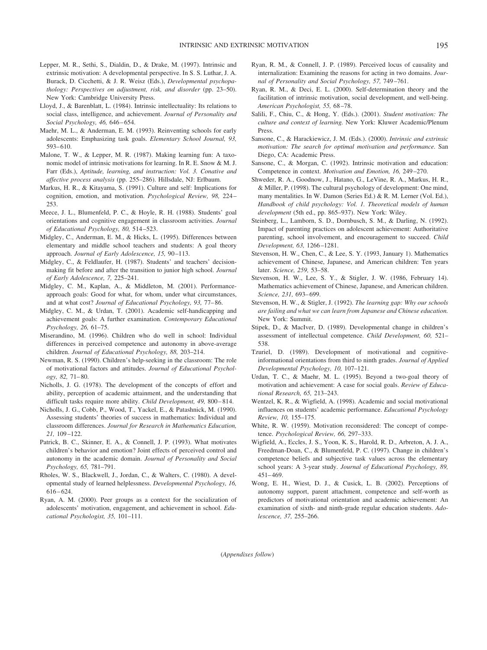- Lepper, M. R., Sethi, S., Dialdin, D., & Drake, M. (1997). Intrinsic and extrinsic motivation: A developmental perspective. In S. S. Luthar, J. A. Burack, D. Cicchetti, & J. R. Weisz (Eds.), *Developmental psychopathology: Perspectives on adjustment, risk, and disorder* (pp. 23–50). New York: Cambridge University Press.
- Lloyd, J., & Barenblatt, L. (1984). Intrinsic intellectuality: Its relations to social class, intelligence, and achievement. *Journal of Personality and Social Psychology, 46,* 646 – 654.
- Maehr, M. L., & Anderman, E. M. (1993). Reinventing schools for early adolescents: Emphasizing task goals. *Elementary School Journal, 93,* 593– 610.
- Malone, T. W., & Lepper, M. R. (1987). Making learning fun: A taxonomic model of intrinsic motivations for learning. In R. E. Snow & M. J. Farr (Eds.), *Aptitude, learning, and instruction: Vol. 3. Conative and affective process analysis* (pp. 255–286). Hillsdale, NJ: Erlbaum.
- Markus, H. R., & Kitayama, S. (1991). Culture and self: Implications for cognition, emotion, and motivation. *Psychological Review, 98,* 224 – 253.
- Meece, J. L., Blumenfeld, P. C., & Hoyle, R. H. (1988). Students' goal orientations and cognitive engagement in classroom activities. *Journal of Educational Psychology, 80,* 514 –523.
- Midgley, C., Anderman, E. M., & Hicks, L. (1995). Differences between elementary and middle school teachers and students: A goal theory approach. *Journal of Early Adolescence*, 15, 90-113.
- Midgley, C., & Feldlaufer, H. (1987). Students' and teachers' decisionmaking fit before and after the transition to junior high school. *Journal of Early Adolescence, 7,* 225–241.
- Midgley, C. M., Kaplan, A., & Middleton, M. (2001). Performanceapproach goals: Good for what, for whom, under what circumstances, and at what cost? *Journal of Educational Psychology, 93,* 77– 86.
- Midgley, C. M., & Urdan, T. (2001). Academic self-handicapping and achievement goals: A further examination. *Contemporary Educational Psychology, 26,* 61–75.
- Miserandino, M. (1996). Children who do well in school: Individual differences in perceived competence and autonomy in above-average children. *Journal of Educational Psychology, 88,* 203–214.
- Newman, R. S. (1990). Children's help-seeking in the classroom: The role of motivational factors and attitudes. *Journal of Educational Psychology, 82,* 71– 80.
- Nicholls, J. G. (1978). The development of the concepts of effort and ability, perception of academic attainment, and the understanding that difficult tasks require more ability. *Child Development*, 49, 800-814.
- Nicholls, J. G., Cobb, P., Wood, T., Yackel, E., & Patashnick, M. (1990). Assessing students' theories of success in mathematics: Individual and classroom differences. *Journal for Research in Mathematics Education, 21,* 109 –122.
- Patrick, B. C., Skinner, E. A., & Connell, J. P. (1993). What motivates children's behavior and emotion? Joint effects of perceived control and autonomy in the academic domain. *Journal of Personality and Social Psychology, 65,* 781–791.
- Rholes, W. S., Blackwell, J., Jordan, C., & Walters, C. (1980). A developmental study of learned helplessness. *Developmental Psychology, 16,* 616 – 624.
- Ryan, A. M. (2000). Peer groups as a context for the socialization of adolescents' motivation, engagement, and achievement in school. *Educational Psychologist, 35,* 101–111.
- Ryan, R. M., & Connell, J. P. (1989). Perceived locus of causality and internalization: Examining the reasons for acting in two domains. *Journal of Personality and Social Psychology, 57,* 749 –761.
- Ryan, R. M., & Deci, E. L. (2000). Self-determination theory and the facilitation of intrinsic motivation, social development, and well-being. *American Psychologist, 55,* 68 –78.
- Salili, F., Chiu, C., & Hong, Y. (Eds.). (2001). *Student motivation: The culture and context of learning.* New York: Kluwer Academic/Plenum Press.
- Sansone, C., & Harackiewicz, J. M. (Eds.). (2000). *Intrinsic and extrinsic motivation: The search for optimal motivation and performance.* San Diego, CA: Academic Press.
- Sansone, C., & Morgan, C. (1992). Intrinsic motivation and education: Competence in context. *Motivation and Emotion, 16,* 249 –270.
- Shweder, R. A., Goodnow, J., Hatano, G., LeVine, R. A., Markus, H. R., & Miller, P. (1998). The cultural psychology of development: One mind, many mentalities. In W. Damon (Series Ed.) & R. M. Lerner (Vol. Ed.), *Handbook of child psychology: Vol. 1. Theoretical models of human development* (5th ed., pp. 865–937). New York: Wiley.
- Steinberg, L., Lamborn, S. D., Dornbusch, S. M., & Darling, N. (1992). Impact of parenting practices on adolescent achievement: Authoritative parenting, school involvement, and encouragement to succeed. *Child Development, 63,* 1266 –1281.
- Stevenson, H. W., Chen, C., & Lee, S. Y. (1993, January 1). Mathematics achievement of Chinese, Japanese, and American children: Ten years later. *Science, 259,* 53–58.
- Stevenson, H. W., Lee, S. Y., & Stigler, J. W. (1986, February 14). Mathematics achievement of Chinese, Japanese, and American children. *Science, 231,* 693– 699.
- Stevenson, H. W., & Stigler, J. (1992). *The learning gap: Why our schools are failing and what we can learn from Japanese and Chinese education.* New York: Summit.
- Stipek, D., & MacIver, D. (1989). Developmental change in children's assessment of intellectual competence. *Child Development, 60,* 521– 538.
- Tzuriel, D. (1989). Development of motivational and cognitiveinformational orientations from third to ninth grades. *Journal of Applied Developmental Psychology, 10,* 107–121.
- Urdan, T. C., & Maehr, M. L. (1995). Beyond a two-goal theory of motivation and achievement: A case for social goals. *Review of Educational Research, 65,* 213–243.
- Wentzel, K. R., & Wigfield, A. (1998). Academic and social motivational influences on students' academic performance. *Educational Psychology Review, 10,* 155–175.
- White, R. W. (1959). Motivation reconsidered: The concept of competence. *Psychological Review, 66,* 297–333.
- Wigfield, A., Eccles, J. S., Yoon, K. S., Harold, R. D., Arbreton, A. J. A., Freedman-Doan, C., & Blumenfeld, P. C. (1997). Change in children's competence beliefs and subjective task values across the elementary school years: A 3-year study. *Journal of Educational Psychology, 89,*  $451 - 469.$
- Wong, E. H., Wiest, D. J., & Cusick, L. B. (2002). Perceptions of autonomy support, parent attachment, competence and self-worth as predictors of motivational orientation and academic achievement: An examination of sixth- and ninth-grade regular education students. *Adolescence, 37,* 255–266.

(*Appendixes follow*)